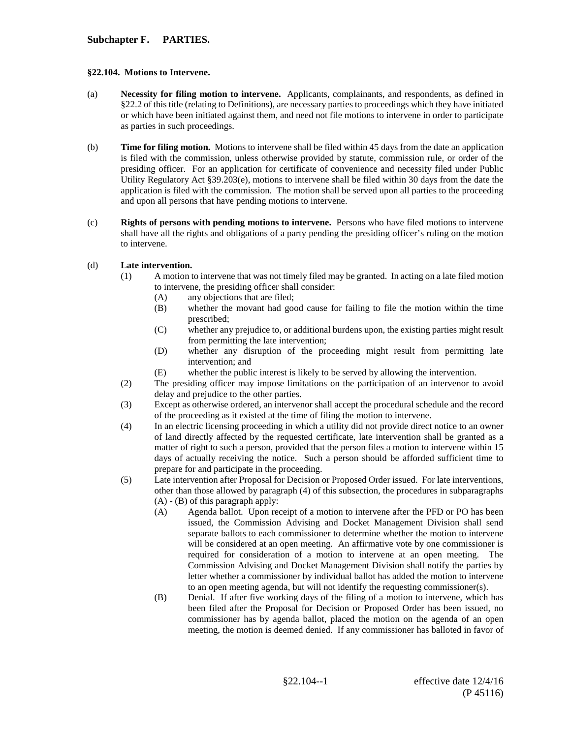## **Subchapter F. PARTIES.**

## **§22.104. Motions to Intervene.**

- (a) **Necessity for filing motion to intervene.** Applicants, complainants, and respondents, as defined in §22.2 of this title (relating to Definitions), are necessary parties to proceedings which they have initiated or which have been initiated against them, and need not file motions to intervene in order to participate as parties in such proceedings.
- (b) **Time for filing motion.** Motions to intervene shall be filed within 45 days from the date an application is filed with the commission, unless otherwise provided by statute, commission rule, or order of the presiding officer. For an application for certificate of convenience and necessity filed under Public Utility Regulatory Act §39.203(e), motions to intervene shall be filed within 30 days from the date the application is filed with the commission. The motion shall be served upon all parties to the proceeding and upon all persons that have pending motions to intervene.
- (c) **Rights of persons with pending motions to intervene.** Persons who have filed motions to intervene shall have all the rights and obligations of a party pending the presiding officer's ruling on the motion to intervene.

## (d) **Late intervention.**

- (1) A motion to intervene that was not timely filed may be granted. In acting on a late filed motion to intervene, the presiding officer shall consider:
	- (A) any objections that are filed;<br>(B) whether the movant had good
	- whether the movant had good cause for failing to file the motion within the time prescribed;
	- (C) whether any prejudice to, or additional burdens upon, the existing parties might result from permitting the late intervention;
	- (D) whether any disruption of the proceeding might result from permitting late intervention; and
	- (E) whether the public interest is likely to be served by allowing the intervention.
- (2) The presiding officer may impose limitations on the participation of an intervenor to avoid delay and prejudice to the other parties.
- (3) Except as otherwise ordered, an intervenor shall accept the procedural schedule and the record of the proceeding as it existed at the time of filing the motion to intervene.
- (4) In an electric licensing proceeding in which a utility did not provide direct notice to an owner of land directly affected by the requested certificate, late intervention shall be granted as a matter of right to such a person, provided that the person files a motion to intervene within 15 days of actually receiving the notice. Such a person should be afforded sufficient time to prepare for and participate in the proceeding.
- (5) Late intervention after Proposal for Decision or Proposed Order issued. For late interventions, other than those allowed by paragraph (4) of this subsection, the procedures in subparagraphs (A) - (B) of this paragraph apply:
	- (A) Agenda ballot. Upon receipt of a motion to intervene after the PFD or PO has been issued, the Commission Advising and Docket Management Division shall send separate ballots to each commissioner to determine whether the motion to intervene will be considered at an open meeting. An affirmative vote by one commissioner is required for consideration of a motion to intervene at an open meeting. The Commission Advising and Docket Management Division shall notify the parties by letter whether a commissioner by individual ballot has added the motion to intervene to an open meeting agenda, but will not identify the requesting commissioner(s).
	- (B) Denial. If after five working days of the filing of a motion to intervene, which has been filed after the Proposal for Decision or Proposed Order has been issued, no commissioner has by agenda ballot, placed the motion on the agenda of an open meeting, the motion is deemed denied. If any commissioner has balloted in favor of